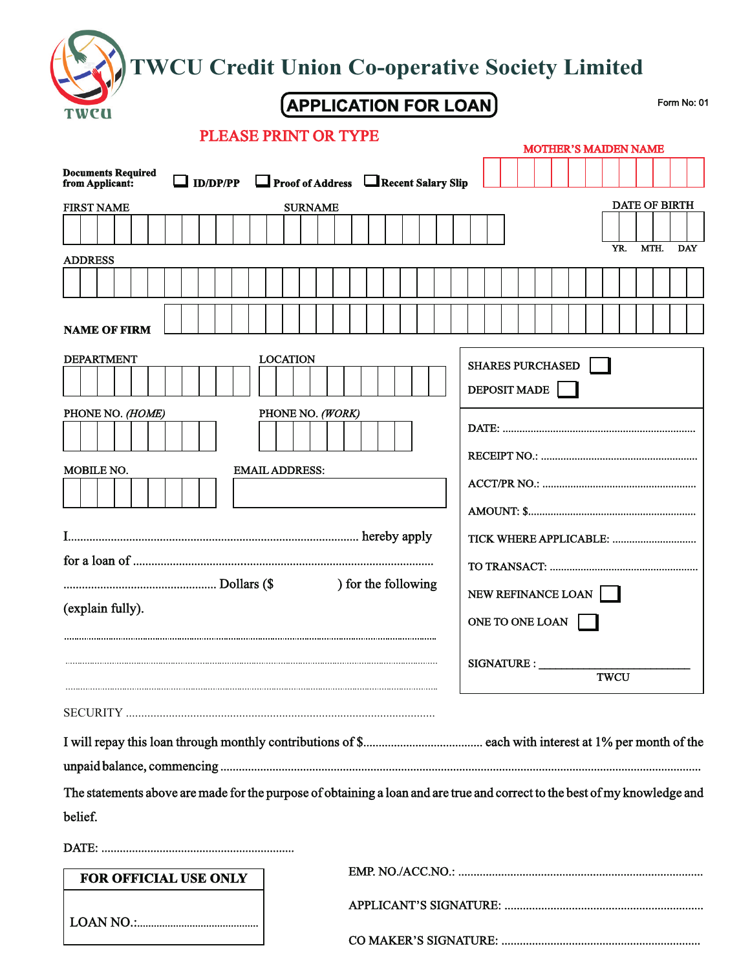**TWCU Credit Union Co-operative Society Limited**

# **APPLICATION FOR LOAN**

Form No: 01

|                                                                                                                            |  |  |  |  | PLEASE PRINT OR TYPE                              |  |                 |                    |  |  |  |                                         |  |  |  |  |  |  |  |     |                             |  |            |
|----------------------------------------------------------------------------------------------------------------------------|--|--|--|--|---------------------------------------------------|--|-----------------|--------------------|--|--|--|-----------------------------------------|--|--|--|--|--|--|--|-----|-----------------------------|--|------------|
|                                                                                                                            |  |  |  |  |                                                   |  |                 |                    |  |  |  |                                         |  |  |  |  |  |  |  |     | <b>MOTHER'S MAIDEN NAME</b> |  |            |
| <b>Documents Required</b><br>from Applicant:                                                                               |  |  |  |  | <b>DOP/PP</b> Proof of Address Recent Salary Slip |  |                 |                    |  |  |  |                                         |  |  |  |  |  |  |  |     |                             |  |            |
| <b>FIRST NAME</b>                                                                                                          |  |  |  |  | <b>SURNAME</b>                                    |  |                 |                    |  |  |  |                                         |  |  |  |  |  |  |  |     | <b>DATE OF BIRTH</b>        |  |            |
|                                                                                                                            |  |  |  |  |                                                   |  |                 |                    |  |  |  |                                         |  |  |  |  |  |  |  |     |                             |  |            |
| <b>ADDRESS</b>                                                                                                             |  |  |  |  |                                                   |  |                 |                    |  |  |  |                                         |  |  |  |  |  |  |  | YR. | MTH.                        |  | <b>DAY</b> |
|                                                                                                                            |  |  |  |  |                                                   |  |                 |                    |  |  |  |                                         |  |  |  |  |  |  |  |     |                             |  |            |
| <b>NAME OF FIRM</b>                                                                                                        |  |  |  |  |                                                   |  |                 |                    |  |  |  |                                         |  |  |  |  |  |  |  |     |                             |  |            |
| <b>DEPARTMENT</b>                                                                                                          |  |  |  |  | <b>LOCATION</b>                                   |  |                 |                    |  |  |  |                                         |  |  |  |  |  |  |  |     |                             |  |            |
|                                                                                                                            |  |  |  |  |                                                   |  |                 |                    |  |  |  | <b>SHARES PURCHASED</b><br>DEPOSIT MADE |  |  |  |  |  |  |  |     |                             |  |            |
| PHONE NO. (HOME)                                                                                                           |  |  |  |  | PHONE NO. (WORK)                                  |  |                 |                    |  |  |  |                                         |  |  |  |  |  |  |  |     |                             |  |            |
|                                                                                                                            |  |  |  |  |                                                   |  |                 |                    |  |  |  |                                         |  |  |  |  |  |  |  |     |                             |  |            |
| <b>MOBILE NO.</b>                                                                                                          |  |  |  |  | <b>EMAIL ADDRESS:</b>                             |  |                 |                    |  |  |  |                                         |  |  |  |  |  |  |  |     |                             |  |            |
|                                                                                                                            |  |  |  |  |                                                   |  |                 |                    |  |  |  |                                         |  |  |  |  |  |  |  |     |                             |  |            |
|                                                                                                                            |  |  |  |  |                                                   |  |                 |                    |  |  |  |                                         |  |  |  |  |  |  |  |     |                             |  |            |
|                                                                                                                            |  |  |  |  |                                                   |  |                 |                    |  |  |  |                                         |  |  |  |  |  |  |  |     |                             |  |            |
|                                                                                                                            |  |  |  |  |                                                   |  |                 |                    |  |  |  |                                         |  |  |  |  |  |  |  |     |                             |  |            |
| ) for the following                                                                                                        |  |  |  |  |                                                   |  |                 | NEW REFINANCE LOAN |  |  |  |                                         |  |  |  |  |  |  |  |     |                             |  |            |
| (explain fully).                                                                                                           |  |  |  |  |                                                   |  | ONE TO ONE LOAN |                    |  |  |  |                                         |  |  |  |  |  |  |  |     |                             |  |            |
|                                                                                                                            |  |  |  |  |                                                   |  |                 |                    |  |  |  |                                         |  |  |  |  |  |  |  |     |                             |  |            |
|                                                                                                                            |  |  |  |  |                                                   |  | SIGNATURE :     |                    |  |  |  |                                         |  |  |  |  |  |  |  |     |                             |  |            |
| <b>TWCU</b>                                                                                                                |  |  |  |  |                                                   |  |                 |                    |  |  |  |                                         |  |  |  |  |  |  |  |     |                             |  |            |
|                                                                                                                            |  |  |  |  |                                                   |  |                 |                    |  |  |  |                                         |  |  |  |  |  |  |  |     |                             |  |            |
|                                                                                                                            |  |  |  |  |                                                   |  |                 |                    |  |  |  |                                         |  |  |  |  |  |  |  |     |                             |  |            |
|                                                                                                                            |  |  |  |  |                                                   |  |                 |                    |  |  |  |                                         |  |  |  |  |  |  |  |     |                             |  |            |
| The statements above are made for the purpose of obtaining a loan and are true and correct to the best of my knowledge and |  |  |  |  |                                                   |  |                 |                    |  |  |  |                                         |  |  |  |  |  |  |  |     |                             |  |            |
| belief.                                                                                                                    |  |  |  |  |                                                   |  |                 |                    |  |  |  |                                         |  |  |  |  |  |  |  |     |                             |  |            |
|                                                                                                                            |  |  |  |  |                                                   |  |                 |                    |  |  |  |                                         |  |  |  |  |  |  |  |     |                             |  |            |
| FOR OFFICIAL USE ONLY                                                                                                      |  |  |  |  |                                                   |  |                 |                    |  |  |  |                                         |  |  |  |  |  |  |  |     |                             |  |            |
|                                                                                                                            |  |  |  |  |                                                   |  |                 |                    |  |  |  |                                         |  |  |  |  |  |  |  |     |                             |  |            |

LOAN NO.:............................................

CO MAKER'S SIGNATURE: .................................................................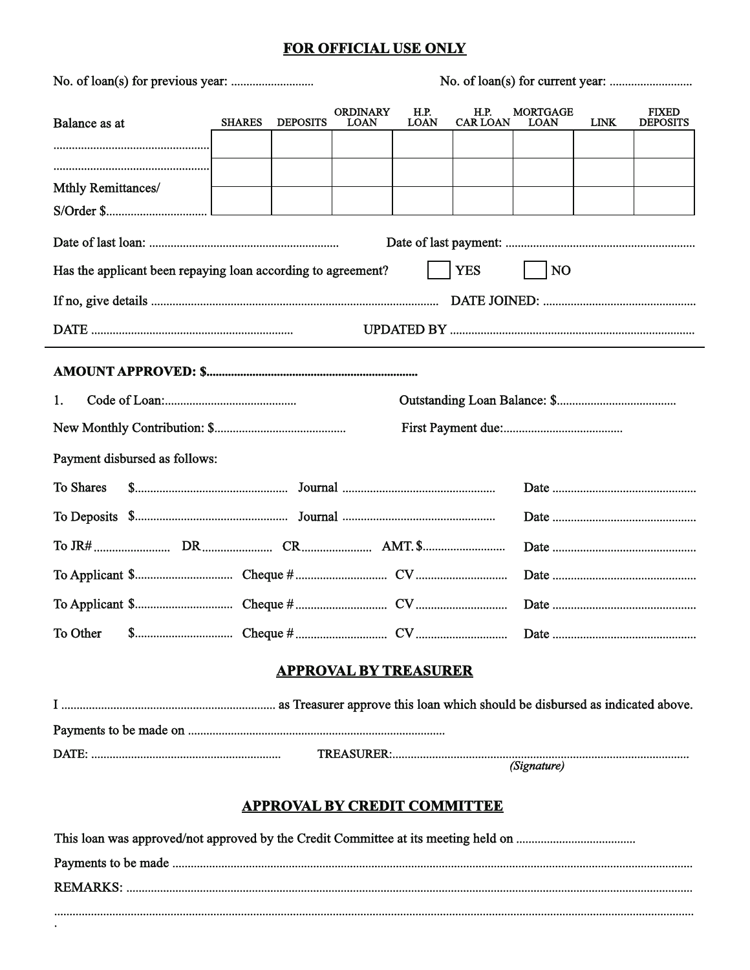#### **FOR OFFICIAL USE ONLY**

| Balance as at                                                | <b>SHARES</b><br><b>DEPOSITS</b>    | <b>ORDINARY</b><br><b>LOAN</b> | H.P.<br><b>LOAN</b> | H.P.<br><b>MORTGAGE</b><br><b>CAR LOAN</b><br><b>LOAN</b> | <b>LINK</b>    | <b>FIXED</b><br><b>DEPOSITS</b> |  |  |  |
|--------------------------------------------------------------|-------------------------------------|--------------------------------|---------------------|-----------------------------------------------------------|----------------|---------------------------------|--|--|--|
| Mthly Remittances/                                           |                                     |                                |                     |                                                           |                |                                 |  |  |  |
|                                                              |                                     |                                |                     |                                                           |                |                                 |  |  |  |
|                                                              |                                     |                                |                     |                                                           |                |                                 |  |  |  |
| Has the applicant been repaying loan according to agreement? |                                     |                                |                     | <b>YES</b>                                                | N <sub>O</sub> |                                 |  |  |  |
|                                                              |                                     |                                |                     |                                                           |                |                                 |  |  |  |
|                                                              |                                     |                                |                     |                                                           |                |                                 |  |  |  |
|                                                              |                                     |                                |                     |                                                           |                |                                 |  |  |  |
| 1.                                                           |                                     |                                |                     |                                                           |                |                                 |  |  |  |
|                                                              |                                     |                                |                     |                                                           |                |                                 |  |  |  |
| Payment disbursed as follows:                                |                                     |                                |                     |                                                           |                |                                 |  |  |  |
| To Shares                                                    |                                     |                                |                     |                                                           |                |                                 |  |  |  |
|                                                              |                                     |                                |                     |                                                           |                |                                 |  |  |  |
|                                                              |                                     |                                |                     |                                                           |                |                                 |  |  |  |
|                                                              |                                     |                                |                     |                                                           |                |                                 |  |  |  |
|                                                              |                                     |                                |                     |                                                           |                |                                 |  |  |  |
| To Other                                                     |                                     |                                |                     |                                                           |                |                                 |  |  |  |
|                                                              |                                     | <b>APPROVAL BY TREASURER</b>   |                     |                                                           |                |                                 |  |  |  |
|                                                              |                                     |                                |                     |                                                           |                |                                 |  |  |  |
|                                                              |                                     |                                |                     |                                                           |                |                                 |  |  |  |
|                                                              |                                     |                                |                     |                                                           |                |                                 |  |  |  |
|                                                              | <b>APPROVAL BY CREDIT COMMITTEE</b> |                                |                     |                                                           |                |                                 |  |  |  |
|                                                              |                                     |                                |                     |                                                           |                |                                 |  |  |  |
|                                                              |                                     |                                |                     |                                                           |                |                                 |  |  |  |
|                                                              |                                     |                                |                     |                                                           |                |                                 |  |  |  |

 $\bullet$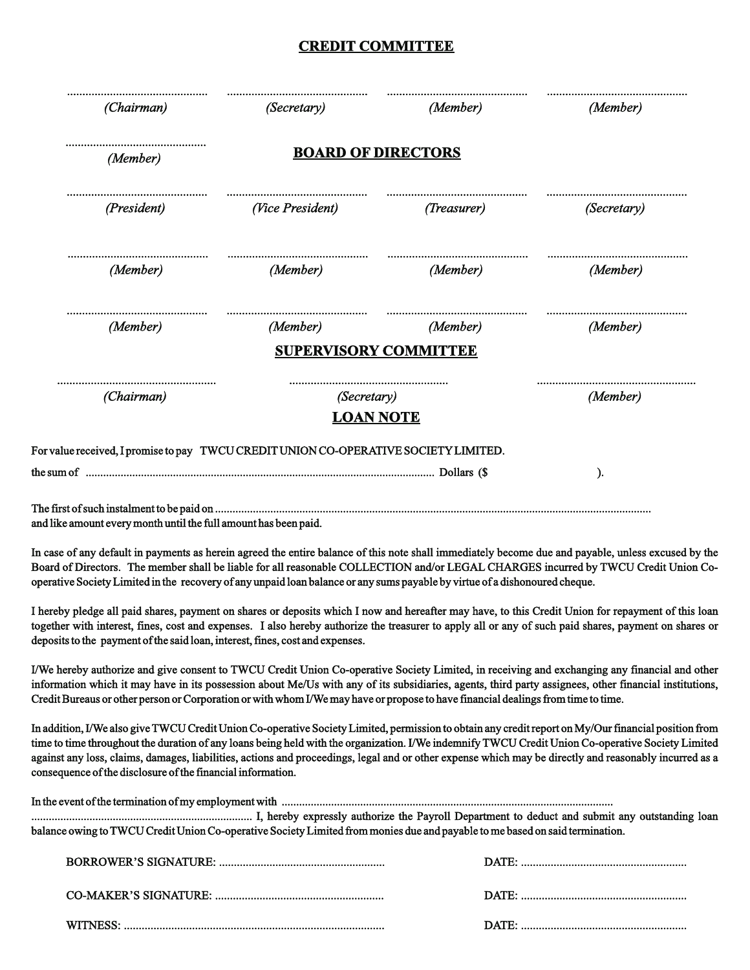### **CREDIT COMMITTEE**

| (Chairman)                                                                    | (Secretary)                                                                                                                       | (Member)    | (Member)                                                                                                                                                                                                                                                                                                                                                                                                                                                            |
|-------------------------------------------------------------------------------|-----------------------------------------------------------------------------------------------------------------------------------|-------------|---------------------------------------------------------------------------------------------------------------------------------------------------------------------------------------------------------------------------------------------------------------------------------------------------------------------------------------------------------------------------------------------------------------------------------------------------------------------|
| (Member)                                                                      | <b>BOARD OF DIRECTORS</b>                                                                                                         |             |                                                                                                                                                                                                                                                                                                                                                                                                                                                                     |
| (President)                                                                   | (Vice President)                                                                                                                  | (Treasurer) | (Secretary)                                                                                                                                                                                                                                                                                                                                                                                                                                                         |
| (Member)                                                                      | (Member)                                                                                                                          | (Member)    | (Member)                                                                                                                                                                                                                                                                                                                                                                                                                                                            |
| (Member)                                                                      | (Member)                                                                                                                          | (Member)    | (Member)                                                                                                                                                                                                                                                                                                                                                                                                                                                            |
|                                                                               | <b>SUPERVISORY COMMITTEE</b>                                                                                                      |             |                                                                                                                                                                                                                                                                                                                                                                                                                                                                     |
| (Chairman)                                                                    | (Secretary)<br><b>LOAN NOTE</b>                                                                                                   |             | (Member)                                                                                                                                                                                                                                                                                                                                                                                                                                                            |
| and like amount every month until the full amount has been paid.              |                                                                                                                                   |             | In case of any default in payments as herein agreed the entire balance of this note shall immediately become due and payable, unless excused by the<br>Board of Directors. The member shall be liable for all reasonable COLLECTION and/or LEGAL CHARGES incurred by TWCU Credit Union Co-                                                                                                                                                                          |
| deposits to the payment of the said loan, interest, fines, cost and expenses. | operative Society Limited in the recovery of any unpaid loan balance or any sums payable by virtue of a dishonoured cheque.       |             | I hereby pledge all paid shares, payment on shares or deposits which I now and hereafter may have, to this Credit Union for repayment of this loan<br>together with interest, fines, cost and expenses. I also hereby authorize the treasurer to apply all or any of such paid shares, payment on shares or                                                                                                                                                         |
|                                                                               | Credit Bureaus or other person or Corporation or with whom I/We may have or propose to have financial dealings from time to time. |             | I/We hereby authorize and give consent to TWCU Credit Union Co-operative Society Limited, in receiving and exchanging any financial and other<br>information which it may have in its possession about Me/Us with any of its subsidiaries, agents, third party assignees, other financial institutions,                                                                                                                                                             |
| consequence of the disclosure of the financial information.                   |                                                                                                                                   |             | In addition, I/We also give TWCU Credit Union Co-operative Society Limited, permission to obtain any credit report on My/Our financial position from<br>time to time throughout the duration of any loans being held with the organization. I/We indemnify TWCU Credit Union Co-operative Society Limited<br>against any loss, claims, damages, liabilities, actions and proceedings, legal and or other expense which may be directly and reasonably incurred as a |
|                                                                               |                                                                                                                                   |             |                                                                                                                                                                                                                                                                                                                                                                                                                                                                     |
|                                                                               | balance owing to TWCU Credit Union Co-operative Society Limited from monies due and payable to me based on said termination.      |             |                                                                                                                                                                                                                                                                                                                                                                                                                                                                     |
|                                                                               |                                                                                                                                   |             |                                                                                                                                                                                                                                                                                                                                                                                                                                                                     |
|                                                                               |                                                                                                                                   |             |                                                                                                                                                                                                                                                                                                                                                                                                                                                                     |
|                                                                               |                                                                                                                                   |             |                                                                                                                                                                                                                                                                                                                                                                                                                                                                     |